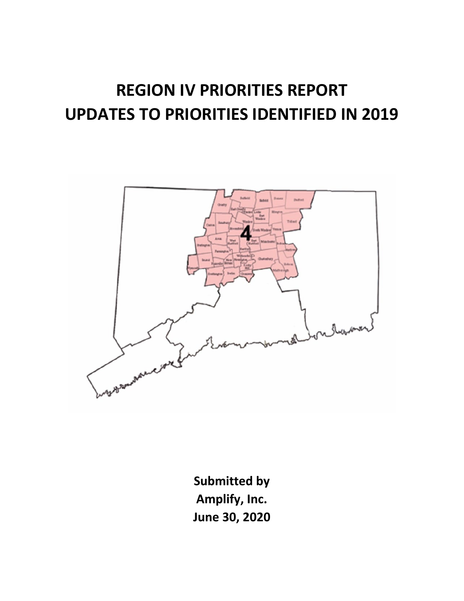# **REGION IV PRIORITIES REPORT UPDATES TO PRIORITIES IDENTIFIED IN 2019**



**Submitted by Amplify, Inc. June 30, 2020**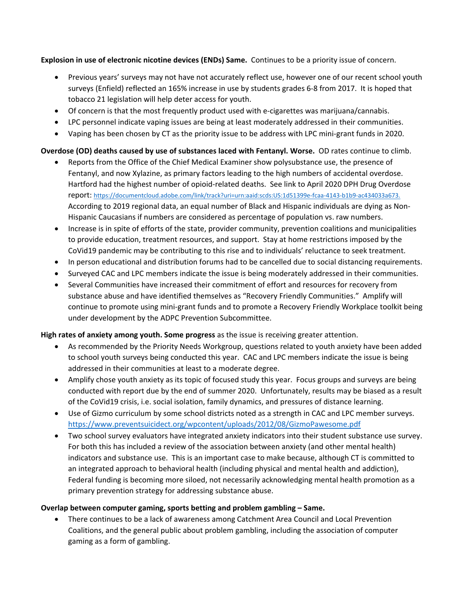**Explosion in use of electronic nicotine devices (ENDs) Same.** Continues to be a priority issue of concern.

- Previous years' surveys may not have not accurately reflect use, however one of our recent school youth surveys (Enfield) reflected an 165% increase in use by students grades 6-8 from 2017. It is hoped that tobacco 21 legislation will help deter access for youth.
- Of concern is that the most frequently product used with e-cigarettes was marijuana/cannabis.
- LPC personnel indicate vaping issues are being at least moderately addressed in their communities.
- Vaping has been chosen by CT as the priority issue to be address with LPC mini-grant funds in 2020.

### **Overdose (OD) deaths caused by use of substances laced with Fentanyl. Worse.** OD rates continue to climb.

- Reports from the Office of the Chief Medical Examiner show polysubstance use, the presence of Fentanyl, and now Xylazine, as primary factors leading to the high numbers of accidental overdose. Hartford had the highest number of opioid-related deaths. See link to April 2020 DPH Drug Overdose report: [https://documentcloud.adobe.com/link/track?uri=urn:aaid:scds:US:1d51399e-fcaa-4143-b1b9-ac434033a673.](https://documentcloud.adobe.com/link/track?uri=urn:aaid:scds:US:1d51399e-fcaa-4143-b1b9-ac434033a673) According to 2019 regional data, an equal number of Black and Hispanic individuals are dying as Non-Hispanic Caucasians if numbers are considered as percentage of population vs. raw numbers.
- Increase is in spite of efforts of the state, provider community, prevention coalitions and municipalities to provide education, treatment resources, and support. Stay at home restrictions imposed by the CoVid19 pandemic may be contributing to this rise and to individuals' reluctance to seek treatment.
- In person educational and distribution forums had to be cancelled due to social distancing requirements.
- Surveyed CAC and LPC members indicate the issue is being moderately addressed in their communities.
- Several Communities have increased their commitment of effort and resources for recovery from substance abuse and have identified themselves as "Recovery Friendly Communities." Amplify will continue to promote using mini-grant funds and to promote a Recovery Friendly Workplace toolkit being under development by the ADPC Prevention Subcommittee.

#### **High rates of anxiety among youth. Some progress** as the issue is receiving greater attention.

- As recommended by the Priority Needs Workgroup, questions related to youth anxiety have been added to school youth surveys being conducted this year. CAC and LPC members indicate the issue is being addressed in their communities at least to a moderate degree.
- Amplify chose youth anxiety as its topic of focused study this year. Focus groups and surveys are being conducted with report due by the end of summer 2020. Unfortunately, results may be biased as a result of the CoVid19 crisis, i.e. social isolation, family dynamics, and pressures of distance learning.
- Use of Gizmo curriculum by some school districts noted as a strength in CAC and LPC member surveys. <https://www.preventsuicidect.org/wpcontent/uploads/2012/08/GizmoPawesome.pdf>
- Two school survey evaluators have integrated anxiety indicators into their student substance use survey. For both this has included a review of the association between anxiety (and other mental health) indicators and substance use. This is an important case to make because, although CT is committed to an integrated approach to behavioral health (including physical and mental health and addiction), Federal funding is becoming more siloed, not necessarily acknowledging mental health promotion as a primary prevention strategy for addressing substance abuse.

#### **Overlap between computer gaming, sports betting and problem gambling – Same.**

• There continues to be a lack of awareness among Catchment Area Council and Local Prevention Coalitions, and the general public about problem gambling, including the association of computer gaming as a form of gambling.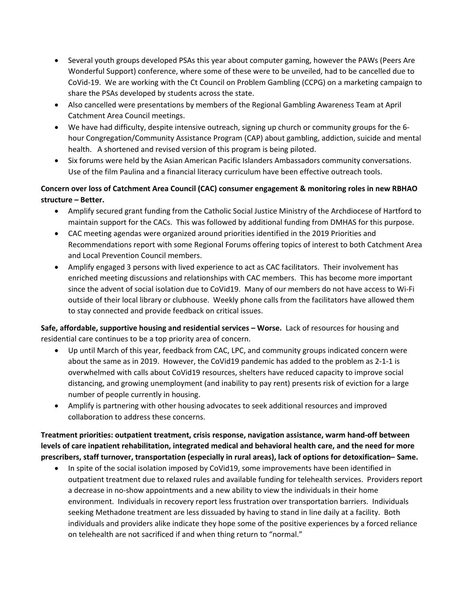- Several youth groups developed PSAs this year about computer gaming, however the PAWs (Peers Are Wonderful Support) conference, where some of these were to be unveiled, had to be cancelled due to CoVid-19. We are working with the Ct Council on Problem Gambling (CCPG) on a marketing campaign to share the PSAs developed by students across the state.
- Also cancelled were presentations by members of the Regional Gambling Awareness Team at April Catchment Area Council meetings.
- We have had difficulty, despite intensive outreach, signing up church or community groups for the 6 hour Congregation/Community Assistance Program (CAP) about gambling, addiction, suicide and mental health. A shortened and revised version of this program is being piloted.
- Six forums were held by the Asian American Pacific Islanders Ambassadors community conversations. Use of the film Paulina and a financial literacy curriculum have been effective outreach tools.

## **Concern over loss of Catchment Area Council (CAC) consumer engagement & monitoring roles in new RBHAO structure – Better.**

- Amplify secured grant funding from the Catholic Social Justice Ministry of the Archdiocese of Hartford to maintain support for the CACs. This was followed by additional funding from DMHAS for this purpose.
- CAC meeting agendas were organized around priorities identified in the 2019 Priorities and Recommendations report with some Regional Forums offering topics of interest to both Catchment Area and Local Prevention Council members.
- Amplify engaged 3 persons with lived experience to act as CAC facilitators. Their involvement has enriched meeting discussions and relationships with CAC members. This has become more important since the advent of social isolation due to CoVid19. Many of our members do not have access to Wi-Fi outside of their local library or clubhouse. Weekly phone calls from the facilitators have allowed them to stay connected and provide feedback on critical issues.

**Safe, affordable, supportive housing and residential services – Worse.** Lack of resources for housing and residential care continues to be a top priority area of concern.

- Up until March of this year, feedback from CAC, LPC, and community groups indicated concern were about the same as in 2019. However, the CoVid19 pandemic has added to the problem as 2-1-1 is overwhelmed with calls about CoVid19 resources, shelters have reduced capacity to improve social distancing, and growing unemployment (and inability to pay rent) presents risk of eviction for a large number of people currently in housing.
- Amplify is partnering with other housing advocates to seek additional resources and improved collaboration to address these concerns.

**Treatment priorities: outpatient treatment, crisis response, navigation assistance, warm hand-off between levels of care inpatient rehabilitation, integrated medical and behavioral health care, and the need for more prescribers, staff turnover, transportation (especially in rural areas), lack of options for detoxification– Same.**

• In spite of the social isolation imposed by CoVid19, some improvements have been identified in outpatient treatment due to relaxed rules and available funding for telehealth services. Providers report a decrease in no-show appointments and a new ability to view the individuals in their home environment. Individuals in recovery report less frustration over transportation barriers. Individuals seeking Methadone treatment are less dissuaded by having to stand in line daily at a facility. Both individuals and providers alike indicate they hope some of the positive experiences by a forced reliance on telehealth are not sacrificed if and when thing return to "normal."